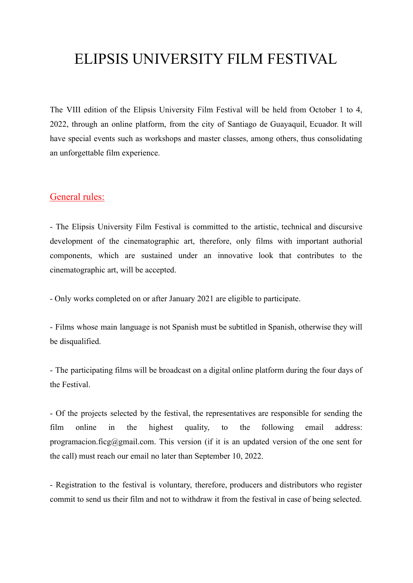# ELIPSIS UNIVERSITY FILM FESTIVAL

The VIII edition of the Elipsis University Film Festival will be held from October 1 to 4, 2022, through an online platform, from the city of Santiago de Guayaquil, Ecuador. It will have special events such as workshops and master classes, among others, thus consolidating an unforgettable film experience.

## General rules:

- The Elipsis University Film Festival is committed to the artistic, technical and discursive development of the cinematographic art, therefore, only films with important authorial components, which are sustained under an innovative look that contributes to the cinematographic art, will be accepted.

- Only works completed on or after January 2021 are eligible to participate.

- Films whose main language is not Spanish must be subtitled in Spanish, otherwise they will be disqualified.

- The participating films will be broadcast on a digital online platform during the four days of the Festival.

- Of the projects selected by the festival, the representatives are responsible for sending the film online in the highest quality, to the following email address: programacion.ficg@gmail.com. This version (if it is an updated version of the one sent for the call) must reach our email no later than September 10, 2022.

- Registration to the festival is voluntary, therefore, producers and distributors who register commit to send us their film and not to withdraw it from the festival in case of being selected.